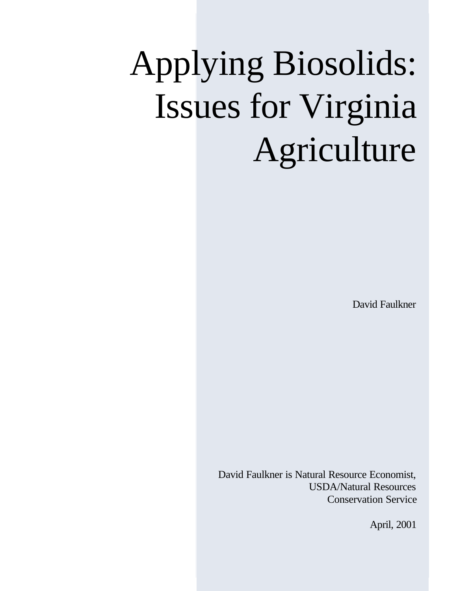# Applying Biosolids: Issues for Virginia Agriculture

David Faulkner

David Faulkner is Natural Resource Economist, USDA/Natural Resources Conservation Service

April, 2001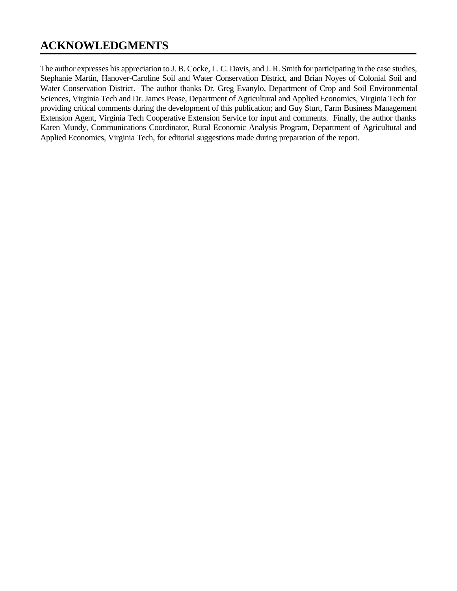## **ACKNOWLEDGMENTS**

The author expresses his appreciation to J. B. Cocke, L. C. Davis, and J. R. Smith for participating in the case studies, Stephanie Martin, Hanover-Caroline Soil and Water Conservation District, and Brian Noyes of Colonial Soil and Water Conservation District. The author thanks Dr. Greg Evanylo, Department of Crop and Soil Environmental Sciences, Virginia Tech and Dr. James Pease, Department of Agricultural and Applied Economics, Virginia Tech for providing critical comments during the development of this publication; and Guy Sturt, Farm Business Management Extension Agent, Virginia Tech Cooperative Extension Service for input and comments. Finally, the author thanks Karen Mundy, Communications Coordinator, Rural Economic Analysis Program, Department of Agricultural and Applied Economics, Virginia Tech, for editorial suggestions made during preparation of the report.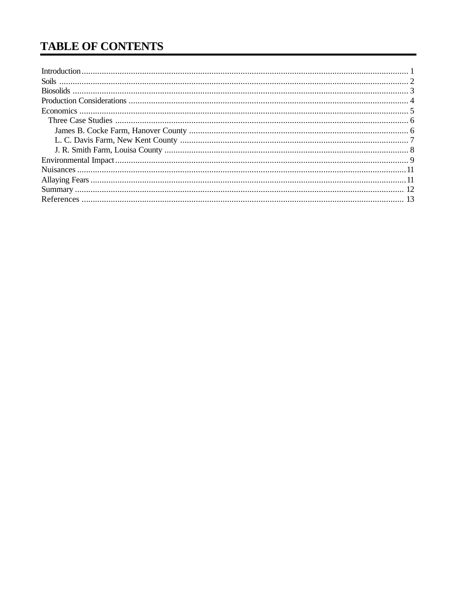# **TABLE OF CONTENTS**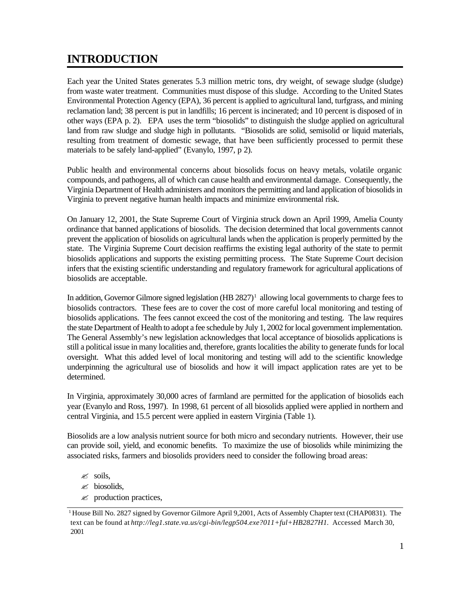# **INTRODUCTION**

Each year the United States generates 5.3 million metric tons, dry weight, of sewage sludge (sludge) from waste water treatment. Communities must dispose of this sludge. According to the United States Environmental Protection Agency (EPA), 36 percent is applied to agricultural land, turfgrass, and mining reclamation land; 38 percent is put in landfills; 16 percent is incinerated; and 10 percent is disposed of in other ways (EPA p. 2). EPA uses the term "biosolids" to distinguish the sludge applied on agricultural land from raw sludge and sludge high in pollutants. "Biosolids are solid, semisolid or liquid materials, resulting from treatment of domestic sewage, that have been sufficiently processed to permit these materials to be safely land-applied" (Evanylo, 1997, p 2).

Public health and environmental concerns about biosolids focus on heavy metals, volatile organic compounds, and pathogens, all of which can cause health and environmental damage. Consequently, the Virginia Department of Health administers and monitors the permitting and land application of biosolids in Virginia to prevent negative human health impacts and minimize environmental risk.

On January 12, 2001, the State Supreme Court of Virginia struck down an April 1999, Amelia County ordinance that banned applications of biosolids. The decision determined that local governments cannot prevent the application of biosolids on agricultural lands when the application is properly permitted by the state. The Virginia Supreme Court decision reaffirms the existing legal authority of the state to permit biosolids applications and supports the existing permitting process. The State Supreme Court decision infers that the existing scientific understanding and regulatory framework for agricultural applications of biosolids are acceptable.

In addition, Governor Gilmore signed legislation (HB 2827)<sup>1</sup> allowing local governments to charge fees to biosolids contractors. These fees are to cover the cost of more careful local monitoring and testing of biosolids applications. The fees cannot exceed the cost of the monitoring and testing. The law requires the state Department of Health to adopt a fee schedule by July 1, 2002 for local government implementation. The General Assembly's new legislation acknowledges that local acceptance of biosolids applications is still a political issue in many localities and, therefore, grants localities the ability to generate funds for local oversight. What this added level of local monitoring and testing will add to the scientific knowledge underpinning the agricultural use of biosolids and how it will impact application rates are yet to be determined.

In Virginia, approximately 30,000 acres of farmland are permitted for the application of biosolids each year (Evanylo and Ross, 1997). In 1998, 61 percent of all biosolids applied were applied in northern and central Virginia, and 15.5 percent were applied in eastern Virginia (Table 1).

Biosolids are a low analysis nutrient source for both micro and secondary nutrients. However, their use can provide soil, yield, and economic benefits. To maximize the use of biosolids while minimizing the associated risks, farmers and biosolids providers need to consider the following broad areas:

- $\mathscr{L}$  soils,
- $\mathscr{\mathscr{L}}$  biosolids,
- $\mathscr{L}$  production practices,

<sup>&</sup>lt;sup>1</sup> House Bill No. 2827 signed by Governor Gilmore April 9,2001, Acts of Assembly Chapter text (CHAP0831). The text can be found at *http://leg1.state.va.us/cgi-bin/legp504.exe?011+ful+HB2827H1.* Accessed March 30, 2001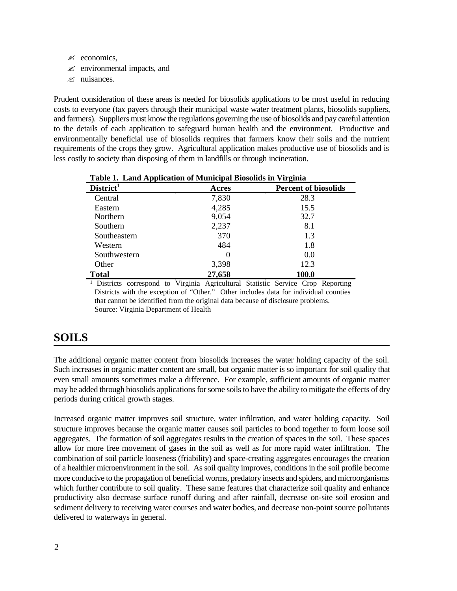$\mathscr{L}$  economics,

- $\mathscr{L}$  environmental impacts, and
- $\mathscr{\mathscr{L}}$  nuisances.

Prudent consideration of these areas is needed for biosolids applications to be most useful in reducing costs to everyone (tax payers through their municipal waste water treatment plants, biosolids suppliers, and farmers). Suppliers must know the regulations governing the use of biosolids and pay careful attention to the details of each application to safeguard human health and the environment. Productive and environmentally beneficial use of biosolids requires that farmers know their soils and the nutrient requirements of the crops they grow. Agricultural application makes productive use of biosolids and is less costly to society than disposing of them in landfills or through incineration.

| тарк т. Еани дррисанон от министрат рюзопиз нг у п guna |                             |
|---------------------------------------------------------|-----------------------------|
| Acres                                                   | <b>Percent of biosolids</b> |
| 7,830                                                   | 28.3                        |
| 4,285                                                   | 15.5                        |
| 9,054                                                   | 32.7                        |
| 2,237                                                   | 8.1                         |
| 370                                                     | 1.3                         |
| 484                                                     | 1.8                         |
| $\theta$                                                | 0.0                         |
| 3,398                                                   | 12.3                        |
| 27,658                                                  | 100.0                       |
|                                                         |                             |

**Table 1. Land Application of Municipal Biosolids in Virginia**

<sup>1</sup> Districts correspond to Virginia Agricultural Statistic Service Crop Reporting Districts with the exception of "Other." Other includes data for individual counties that cannot be identified from the original data because of disclosure problems. Source: Virginia Department of Health

## **SOILS**

The additional organic matter content from biosolids increases the water holding capacity of the soil. Such increases in organic matter content are small, but organic matter is so important for soil quality that even small amounts sometimes make a difference. For example, sufficient amounts of organic matter may be added through biosolids applications for some soils to have the ability to mitigate the effects of dry periods during critical growth stages.

Increased organic matter improves soil structure, water infiltration, and water holding capacity. Soil structure improves because the organic matter causes soil particles to bond together to form loose soil aggregates. The formation of soil aggregates results in the creation of spaces in the soil. These spaces allow for more free movement of gases in the soil as well as for more rapid water infiltration. The combination of soil particle looseness (friability) and space-creating aggregates encourages the creation of a healthier microenvironment in the soil. As soil quality improves, conditions in the soil profile become more conducive to the propagation of beneficial worms, predatory insects and spiders, and microorganisms which further contribute to soil quality. These same features that characterize soil quality and enhance productivity also decrease surface runoff during and after rainfall, decrease on-site soil erosion and sediment delivery to receiving water courses and water bodies, and decrease non-point source pollutants delivered to waterways in general.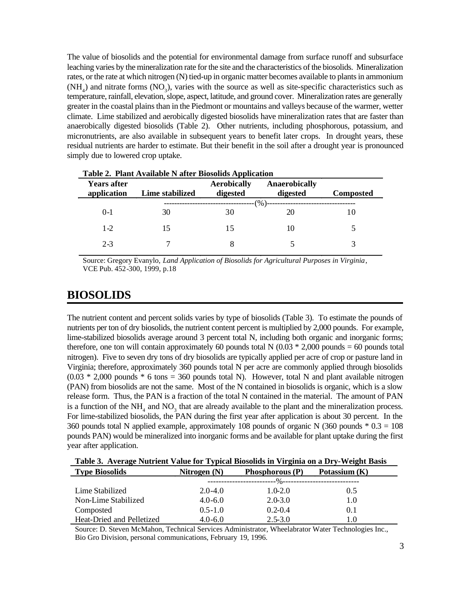The value of biosolids and the potential for environmental damage from surface runoff and subsurface leaching varies by the mineralization rate for the site and the characteristics of the biosolids. Mineralization rates, or the rate at which nitrogen (N) tied-up in organic matter becomes available to plants in ammonium  $(NH<sub>4</sub>)$  and nitrate forms  $(NO<sub>3</sub>)$ , varies with the source as well as site-specific characteristics such as temperature, rainfall, elevation, slope, aspect, latitude, and ground cover. Mineralization rates are generally greater in the coastal plains than in the Piedmont or mountains and valleys because of the warmer, wetter climate. Lime stabilized and aerobically digested biosolids have mineralization rates that are faster than anaerobically digested biosolids (Table 2). Other nutrients, including phosphorous, potassium, and micronutrients, are also available in subsequent years to benefit later crops. In drought years, these residual nutrients are harder to estimate. But their benefit in the soil after a drought year is pronounced simply due to lowered crop uptake.

| <b>Years after</b><br>application | Lime stabilized | <b>Aerobically</b><br>digested | Anaerobically<br>digested | <b>Composted</b> |
|-----------------------------------|-----------------|--------------------------------|---------------------------|------------------|
|                                   |                 |                                | $(\%)$                    |                  |
| $0-1$                             | 30              | 30                             | 20                        |                  |
| $1 - 2$                           | 15              | 15                             | 10                        |                  |
| $2 - 3$                           |                 |                                |                           |                  |

**Table 2. Plant Available N after Biosolids Application** 

Source: Gregory Evanylo, *Land Application of Biosolids for Agricultural Purposes in Virginia*, VCE Pub. 452-300, 1999, p.18

## **BIOSOLIDS**

The nutrient content and percent solids varies by type of biosolids (Table 3). To estimate the pounds of nutrients per ton of dry biosolids, the nutrient content percent is multiplied by 2,000 pounds. For example, lime-stabilized biosolids average around 3 percent total N, including both organic and inorganic forms; therefore, one ton will contain approximately 60 pounds total N  $(0.03 * 2,000$  pounds = 60 pounds total nitrogen). Five to seven dry tons of dry biosolids are typically applied per acre of crop or pasture land in Virginia; therefore, approximately 360 pounds total N per acre are commonly applied through biosolids  $(0.03 * 2,000$  pounds  $* 6$  tons = 360 pounds total N). However, total N and plant available nitrogen (PAN) from biosolids are not the same. Most of the N contained in biosolids is organic, which is a slow release form. Thus, the PAN is a fraction of the total N contained in the material. The amount of PAN is a function of the  $NH_4$  and  $NO_3$  that are already available to the plant and the mineralization process. For lime-stabilized biosolids, the PAN during the first year after application is about 30 percent. In the 360 pounds total N applied example, approximately 108 pounds of organic N (360 pounds  $* 0.3 = 108$ ) pounds PAN) would be mineralized into inorganic forms and be available for plant uptake during the first year after application.

|  |  |  | Table 3. Average Nutrient Value for Typical Biosolids in Virginia on a Dry-Weight Basis |
|--|--|--|-----------------------------------------------------------------------------------------|
|  |  |  |                                                                                         |

| <b>Type Biosolids</b>     | Nitrogen $(N)$ | Phosphorous $(P)$                      | Potassium (K) |  |
|---------------------------|----------------|----------------------------------------|---------------|--|
|                           |                | ----%----------------------------<br>. |               |  |
| Lime Stabilized           | $2.0 - 4.0$    | $1.0 - 2.0$                            | 0.5           |  |
| Non-Lime Stabilized       | $4.0 - 6.0$    | $2.0 - 3.0$                            | 1.0           |  |
| Composted                 | $0.5 - 1.0$    | $0.2 - 0.4$                            | 0.1           |  |
| Heat-Dried and Pelletized | $4.0 - 6.0$    | $2.5 - 3.0$                            | 1.0           |  |

Source: D. Steven McMahon, Technical Services Administrator, Wheelabrator Water Technologies Inc., Bio Gro Division, personal communications, February 19, 1996.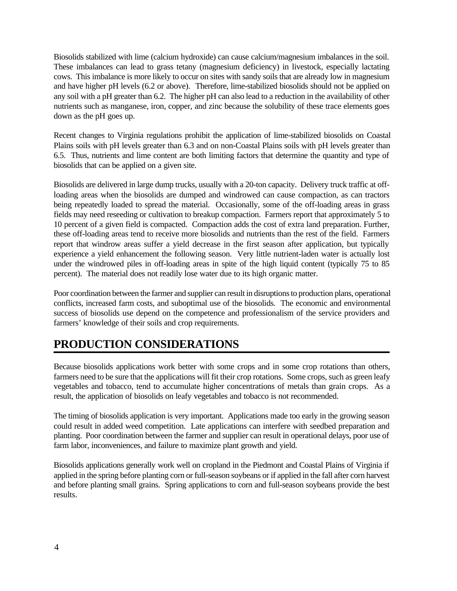Biosolids stabilized with lime (calcium hydroxide) can cause calcium/magnesium imbalances in the soil. These imbalances can lead to grass tetany (magnesium deficiency) in livestock, especially lactating cows. This imbalance is more likely to occur on sites with sandy soils that are already low in magnesium and have higher pH levels (6.2 or above). Therefore, lime-stabilized biosolids should not be applied on any soil with a pH greater than 6.2. The higher pH can also lead to a reduction in the availability of other nutrients such as manganese, iron, copper, and zinc because the solubility of these trace elements goes down as the pH goes up.

Recent changes to Virginia regulations prohibit the application of lime-stabilized biosolids on Coastal Plains soils with pH levels greater than 6.3 and on non-Coastal Plains soils with pH levels greater than 6.5. Thus, nutrients and lime content are both limiting factors that determine the quantity and type of biosolids that can be applied on a given site.

Biosolids are delivered in large dump trucks, usually with a 20-ton capacity. Delivery truck traffic at offloading areas when the biosolids are dumped and windrowed can cause compaction, as can tractors being repeatedly loaded to spread the material. Occasionally, some of the off-loading areas in grass fields may need reseeding or cultivation to breakup compaction. Farmers report that approximately 5 to 10 percent of a given field is compacted. Compaction adds the cost of extra land preparation. Further, these off-loading areas tend to receive more biosolids and nutrients than the rest of the field. Farmers report that windrow areas suffer a yield decrease in the first season after application, but typically experience a yield enhancement the following season. Very little nutrient-laden water is actually lost under the windrowed piles in off-loading areas in spite of the high liquid content (typically 75 to 85 percent). The material does not readily lose water due to its high organic matter.

Poor coordination between the farmer and supplier can result in disruptions to production plans, operational conflicts, increased farm costs, and suboptimal use of the biosolids. The economic and environmental success of biosolids use depend on the competence and professionalism of the service providers and farmers' knowledge of their soils and crop requirements.

## **PRODUCTION CONSIDERATIONS**

Because biosolids applications work better with some crops and in some crop rotations than others, farmers need to be sure that the applications will fit their crop rotations. Some crops, such as green leafy vegetables and tobacco, tend to accumulate higher concentrations of metals than grain crops. As a result, the application of biosolids on leafy vegetables and tobacco is not recommended.

The timing of biosolids application is very important. Applications made too early in the growing season could result in added weed competition. Late applications can interfere with seedbed preparation and planting. Poor coordination between the farmer and supplier can result in operational delays, poor use of farm labor, inconveniences, and failure to maximize plant growth and yield.

Biosolids applications generally work well on cropland in the Piedmont and Coastal Plains of Virginia if applied in the spring before planting corn or full-season soybeans or if applied in the fall after corn harvest and before planting small grains. Spring applications to corn and full-season soybeans provide the best results.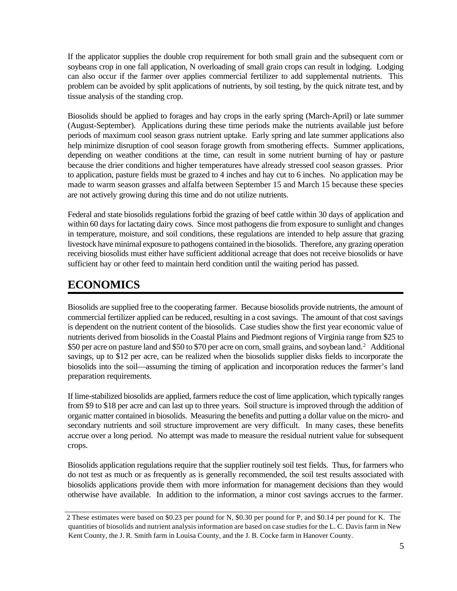If the applicator supplies the double crop requirement for both small grain and the subsequent corn or soybeans crop in one fall application, N overloading of small grain crops can result in lodging. Lodging can also occur if the farmer over applies commercial fertilizer to add supplemental nutrients. This problem can be avoided by split applications of nutrients, by soil testing, by the quick nitrate test, and by tissue analysis of the standing crop.

Biosolids should be applied to forages and hay crops in the early spring (March-April) or late summer (August-September). Applications during these time periods make the nutrients available just before periods of maximum cool season grass nutrient uptake. Early spring and late summer applications also help minimize disruption of cool season forage growth from smothering effects. Summer applications, depending on weather conditions at the time, can result in some nutrient burning of hay or pasture because the drier conditions and higher temperatures have already stressed cool season grasses. Prior to application, pasture fields must be grazed to 4 inches and hay cut to 6 inches. No application may be made to warm season grasses and alfalfa between September 15 and March 15 because these species are not actively growing during this time and do not utilize nutrients.

Federal and state biosolids regulations forbid the grazing of beef cattle within 30 days of application and within 60 days for lactating dairy cows. Since most pathogens die from exposure to sunlight and changes in temperature, moisture, and soil conditions, these regulations are intended to help assure that grazing livestock have minimal exposure to pathogens contained in the biosolids. Therefore, any grazing operation receiving biosolids must either have sufficient additional acreage that does not receive biosolids or have sufficient hay or other feed to maintain herd condition until the waiting period has passed.

## **ECONOMICS**

Biosolids are supplied free to the cooperating farmer. Because biosolids provide nutrients, the amount of commercial fertilizer applied can be reduced, resulting in a cost savings. The amount of that cost savings is dependent on the nutrient content of the biosolids. Case studies show the first year economic value of nutrients derived from biosolids in the Coastal Plains and Piedmont regions of Virginia range from \$25 to \$50 per acre on pasture land and \$50 to \$70 per acre on corn, small grains, and soybean land.<sup>2</sup> Additional savings, up to \$12 per acre, can be realized when the biosolids supplier disks fields to incorporate the biosolids into the soil—assuming the timing of application and incorporation reduces the farmer's land preparation requirements.

If lime-stabilized biosolids are applied, farmers reduce the cost of lime application, which typically ranges from \$9 to \$18 per acre and can last up to three years. Soil structure is improved through the addition of organic matter contained in biosolids. Measuring the benefits and putting a dollar value on the micro- and secondary nutrients and soil structure improvement are very difficult. In many cases, these benefits accrue over a long period. No attempt was made to measure the residual nutrient value for subsequent crops.

Biosolids application regulations require that the supplier routinely soil test fields. Thus, for farmers who do not test as much or as frequently as is generally recommended, the soil test results associated with biosolids applications provide them with more information for management decisions than they would otherwise have available. In addition to the information, a minor cost savings accrues to the farmer.

<sup>2</sup> These estimates were based on \$0.23 per pound for N, \$0.30 per pound for P, and \$0.14 per pound for K. The quantities of biosolids and nutrient analysis information are based on case studies for the L. C. Davis farm in New Kent County, the J. R. Smith farm in Louisa County, and the J. B. Cocke farm in Hanover County.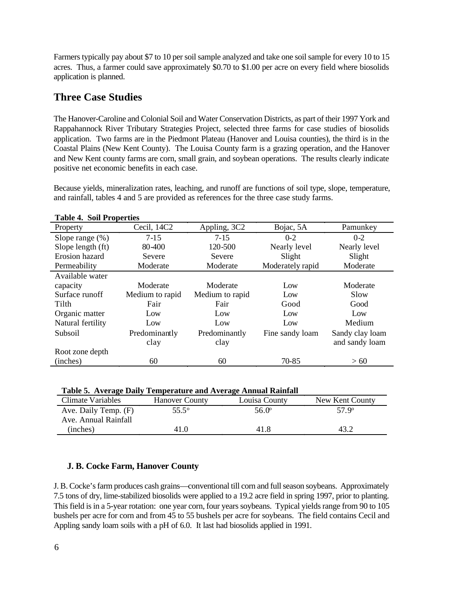Farmers typically pay about \$7 to 10 per soil sample analyzed and take one soil sample for every 10 to 15 acres. Thus, a farmer could save approximately \$0.70 to \$1.00 per acre on every field where biosolids application is planned.

## **Three Case Studies**

The Hanover-Caroline and Colonial Soil and Water Conservation Districts, as part of their 1997 York and Rappahannock River Tributary Strategies Project, selected three farms for case studies of biosolids application. Two farms are in the Piedmont Plateau (Hanover and Louisa counties), the third is in the Coastal Plains (New Kent County). The Louisa County farm is a grazing operation, and the Hanover and New Kent county farms are corn, small grain, and soybean operations. The results clearly indicate positive net economic benefits in each case.

Because yields, mineralization rates, leaching, and runoff are functions of soil type, slope, temperature, and rainfall, tables 4 and 5 are provided as references for the three case study farms.

| Table 7. Boll I Topel ties |                 |                 |                  |                 |
|----------------------------|-----------------|-----------------|------------------|-----------------|
| Property                   | Cecil, 14C2     | Appling, 3C2    | Bojac, 5A        | Pamunkey        |
| Slope range $(\%)$         | $7-15$          | $7 - 15$        | $0 - 2$          | $0-2$           |
| Slope length (ft)          | 80-400          | 120-500         | Nearly level     | Nearly level    |
| Erosion hazard             | Severe          | Severe          | Slight           | Slight          |
| Permeability               | Moderate        | Moderate        | Moderately rapid | Moderate        |
| Available water            |                 |                 |                  |                 |
| capacity                   | Moderate        | Moderate        | Low              | Moderate        |
| Surface runoff             | Medium to rapid | Medium to rapid | Low              | Slow            |
| Tilth                      | Fair            | Fair            | Good             | Good            |
| Organic matter             | Low             | Low             | Low              | Low             |
| Natural fertility          | Low             | Low             | Low              | Medium          |
| Subsoil                    | Predominantly   | Predominantly   | Fine sandy loam  | Sandy clay loam |
|                            | clay            | clay            |                  | and sandy loam  |
| Root zone depth            |                 |                 |                  |                 |
| (inches)                   | 60              | 60              | 70-85            | >60             |

#### **Table 4. Soil Properties**

|  |  | Table 5. Average Daily Temperature and Average Annual Rainfall |
|--|--|----------------------------------------------------------------|
|--|--|----------------------------------------------------------------|

| Climate Variables    | <b>Hanover County</b> | Louisa County | New Kent County |
|----------------------|-----------------------|---------------|-----------------|
| Ave. Daily Temp. (F) | 55.5°                 | 56.0°         | 57.9 $^{\circ}$ |
| Ave. Annual Rainfall |                       |               |                 |
| (inches)             | 41.0                  | 41.8          |                 |

### **J. B. Cocke Farm, Hanover County**

J. B. Cocke's farm produces cash grains—conventional till corn and full season soybeans. Approximately 7.5 tons of dry, lime-stabilized biosolids were applied to a 19.2 acre field in spring 1997, prior to planting. This field is in a 5-year rotation: one year corn, four years soybeans. Typical yields range from 90 to 105 bushels per acre for corn and from 45 to 55 bushels per acre for soybeans. The field contains Cecil and Appling sandy loam soils with a pH of 6.0. It last had biosolids applied in 1991.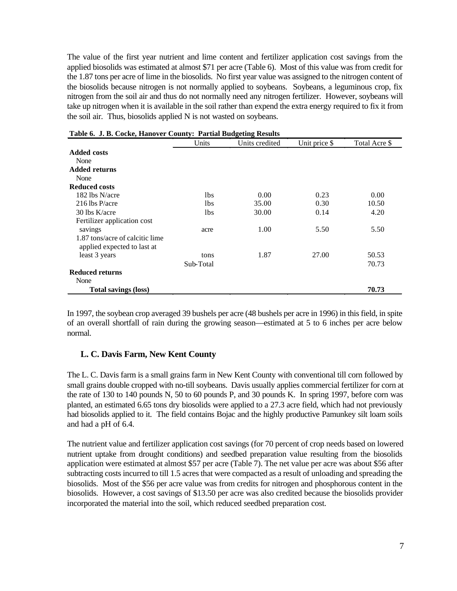The value of the first year nutrient and lime content and fertilizer application cost savings from the applied biosolids was estimated at almost \$71 per acre (Table 6). Most of this value was from credit for the 1.87 tons per acre of lime in the biosolids. No first year value was assigned to the nitrogen content of the biosolids because nitrogen is not normally applied to soybeans. Soybeans, a leguminous crop, fix nitrogen from the soil air and thus do not normally need any nitrogen fertilizer. However, soybeans will take up nitrogen when it is available in the soil rather than expend the extra energy required to fix it from the soil air. Thus, biosolids applied N is not wasted on soybeans.

|                                 | Units     | Units credited | Unit price \$ | Total Acre \$ |
|---------------------------------|-----------|----------------|---------------|---------------|
| <b>Added costs</b>              |           |                |               |               |
| None                            |           |                |               |               |
| <b>Added returns</b>            |           |                |               |               |
| None                            |           |                |               |               |
| <b>Reduced costs</b>            |           |                |               |               |
| 182 lbs N/acre                  | 1bs       | 0.00           | 0.23          | 0.00          |
| 216 lbs P/acre                  | 1bs       | 35.00          | 0.30          | 10.50         |
| $30$ lbs K/acre                 | 1bs       | 30.00          | 0.14          | 4.20          |
| Fertilizer application cost     |           |                |               |               |
| savings                         | acre      | 1.00           | 5.50          | 5.50          |
| 1.87 tons/acre of calcitic lime |           |                |               |               |
| applied expected to last at     |           |                |               |               |
| least 3 years                   | tons      | 1.87           | 27.00         | 50.53         |
|                                 | Sub-Total |                |               | 70.73         |
| <b>Reduced returns</b>          |           |                |               |               |
| None                            |           |                |               |               |
| <b>Total savings (loss)</b>     |           |                |               | 70.73         |

| Table 6. J. B. Cocke, Hanover County: Partial Budgeting Results |  |
|-----------------------------------------------------------------|--|
|-----------------------------------------------------------------|--|

In 1997, the soybean crop averaged 39 bushels per acre (48 bushels per acre in 1996) in this field, in spite of an overall shortfall of rain during the growing season—estimated at 5 to 6 inches per acre below normal.

#### **L. C. Davis Farm, New Kent County**

The L. C. Davis farm is a small grains farm in New Kent County with conventional till corn followed by small grains double cropped with no-till soybeans. Davis usually applies commercial fertilizer for corn at the rate of 130 to 140 pounds N, 50 to 60 pounds P, and 30 pounds K. In spring 1997, before corn was planted, an estimated 6.65 tons dry biosolids were applied to a 27.3 acre field, which had not previously had biosolids applied to it. The field contains Bojac and the highly productive Pamunkey silt loam soils and had a pH of 6.4.

The nutrient value and fertilizer application cost savings (for 70 percent of crop needs based on lowered nutrient uptake from drought conditions) and seedbed preparation value resulting from the biosolids application were estimated at almost \$57 per acre (Table 7). The net value per acre was about \$56 after subtracting costs incurred to till 1.5 acres that were compacted as a result of unloading and spreading the biosolids. Most of the \$56 per acre value was from credits for nitrogen and phosphorous content in the biosolids. However, a cost savings of \$13.50 per acre was also credited because the biosolids provider incorporated the material into the soil, which reduced seedbed preparation cost.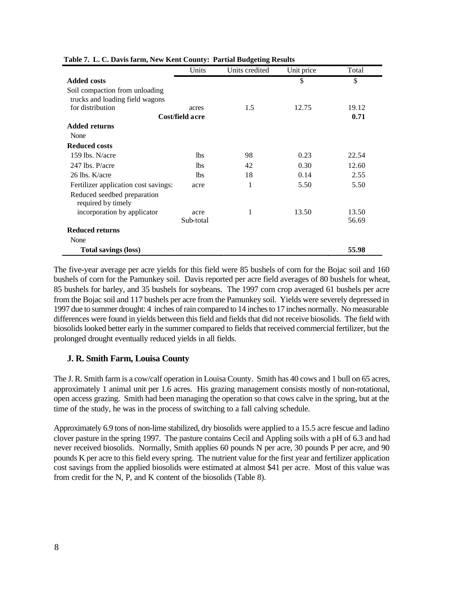|                                                                   | Units           | Units credited | Unit price | Total |
|-------------------------------------------------------------------|-----------------|----------------|------------|-------|
| <b>Added costs</b>                                                |                 |                | \$         | \$    |
| Soil compaction from unloading<br>trucks and loading field wagons |                 |                |            |       |
| for distribution                                                  | acres           | 1.5            | 12.75      | 19.12 |
|                                                                   | Cost/field acre |                |            | 0.71  |
| <b>Added returns</b>                                              |                 |                |            |       |
| None                                                              |                 |                |            |       |
| <b>Reduced costs</b>                                              |                 |                |            |       |
| 159 lbs. $N/$ acre                                                | 1 <sub>bs</sub> | 98             | 0.23       | 22.54 |
| 247 lbs. P/acre                                                   | <b>lbs</b>      | 42             | 0.30       | 12.60 |
| 26 lbs. K/acre                                                    | 1 <sub>bs</sub> | 18             | 0.14       | 2.55  |
| Fertilizer application cost savings:                              | acre            |                | 5.50       | 5.50  |
| Reduced seedbed preparation<br>required by timely                 |                 |                |            |       |
| incorporation by applicator                                       | acre            | 1              | 13.50      | 13.50 |
|                                                                   | Sub-total       |                |            | 56.69 |
| <b>Reduced returns</b>                                            |                 |                |            |       |
| None                                                              |                 |                |            |       |
| <b>Total savings (loss)</b>                                       |                 |                |            | 55.98 |

#### **Table 7. L. C. Davis farm, New Kent County: Partial Budgeting Results**

The five-year average per acre yields for this field were 85 bushels of corn for the Bojac soil and 160 bushels of corn for the Pamunkey soil. Davis reported per acre field averages of 80 bushels for wheat, 85 bushels for barley, and 35 bushels for soybeans. The 1997 corn crop averaged 61 bushels per acre from the Bojac soil and 117 bushels per acre from the Pamunkey soil. Yields were severely depressed in 1997 due to summer drought: 4 inches of rain compared to 14 inches to 17 inches normally. No measurable differences were found in yields between this field and fields that did not receive biosolids. The field with biosolids looked better early in the summer compared to fields that received commercial fertilizer, but the prolonged drought eventually reduced yields in all fields.

#### **J. R. Smith Farm, Louisa County**

The J. R. Smith farm is a cow/calf operation in Louisa County. Smith has 40 cows and 1 bull on 65 acres, approximately 1 animal unit per 1.6 acres. His grazing management consists mostly of non-rotational, open access grazing. Smith had been managing the operation so that cows calve in the spring, but at the time of the study, he was in the process of switching to a fall calving schedule.

Approximately 6.9 tons of non-lime stabilized, dry biosolids were applied to a 15.5 acre fescue and ladino clover pasture in the spring 1997. The pasture contains Cecil and Appling soils with a pH of 6.3 and had never received biosolids. Normally, Smith applies 60 pounds N per acre, 30 pounds P per acre, and 90 pounds K per acre to this field every spring. The nutrient value for the first year and fertilizer application cost savings from the applied biosolids were estimated at almost \$41 per acre. Most of this value was from credit for the N, P, and K content of the biosolids (Table 8).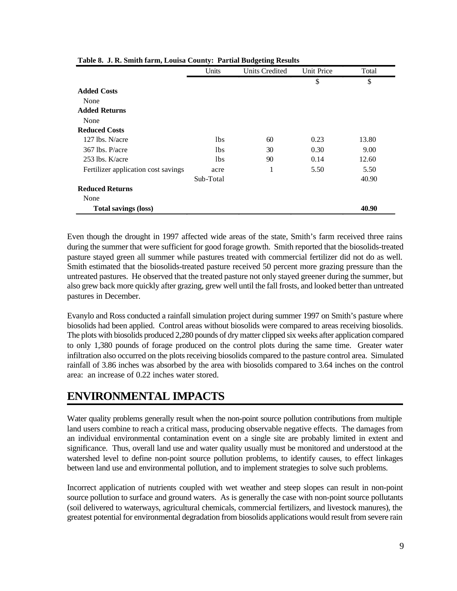|                                     | Units           | <b>Units Credited</b> | Unit Price | Total |
|-------------------------------------|-----------------|-----------------------|------------|-------|
|                                     |                 |                       | \$         | \$    |
| <b>Added Costs</b>                  |                 |                       |            |       |
| None                                |                 |                       |            |       |
| <b>Added Returns</b>                |                 |                       |            |       |
| None                                |                 |                       |            |       |
| <b>Reduced Costs</b>                |                 |                       |            |       |
| $127$ lbs. N/acre                   | 1 <sub>bs</sub> | 60                    | 0.23       | 13.80 |
| 367 lbs. P/acre                     | 1 <sub>bs</sub> | 30                    | 0.30       | 9.00  |
| $253$ lbs. K/acre                   | 1 <sub>bs</sub> | 90                    | 0.14       | 12.60 |
| Fertilizer application cost savings | acre            | 1                     | 5.50       | 5.50  |
|                                     | Sub-Total       |                       |            | 40.90 |
| <b>Reduced Returns</b>              |                 |                       |            |       |
| None                                |                 |                       |            |       |
| <b>Total savings (loss)</b>         |                 |                       |            | 40.90 |

Even though the drought in 1997 affected wide areas of the state, Smith's farm received three rains during the summer that were sufficient for good forage growth. Smith reported that the biosolids-treated pasture stayed green all summer while pastures treated with commercial fertilizer did not do as well. Smith estimated that the biosolids-treated pasture received 50 percent more grazing pressure than the untreated pastures. He observed that the treated pasture not only stayed greener during the summer, but also grew back more quickly after grazing, grew well until the fall frosts, and looked better than untreated pastures in December.

Evanylo and Ross conducted a rainfall simulation project during summer 1997 on Smith's pasture where biosolids had been applied. Control areas without biosolids were compared to areas receiving biosolids. The plots with biosolids produced 2,280 pounds of dry matter clipped six weeks after application compared to only 1,380 pounds of forage produced on the control plots during the same time. Greater water infiltration also occurred on the plots receiving biosolids compared to the pasture control area. Simulated rainfall of 3.86 inches was absorbed by the area with biosolids compared to 3.64 inches on the control area: an increase of 0.22 inches water stored.

## **ENVIRONMENTAL IMPACTS**

Water quality problems generally result when the non-point source pollution contributions from multiple land users combine to reach a critical mass, producing observable negative effects. The damages from an individual environmental contamination event on a single site are probably limited in extent and significance. Thus, overall land use and water quality usually must be monitored and understood at the watershed level to define non-point source pollution problems, to identify causes, to effect linkages between land use and environmental pollution, and to implement strategies to solve such problems.

Incorrect application of nutrients coupled with wet weather and steep slopes can result in non-point source pollution to surface and ground waters. As is generally the case with non-point source pollutants (soil delivered to waterways, agricultural chemicals, commercial fertilizers, and livestock manures), the greatest potential for environmental degradation from biosolids applications would result from severe rain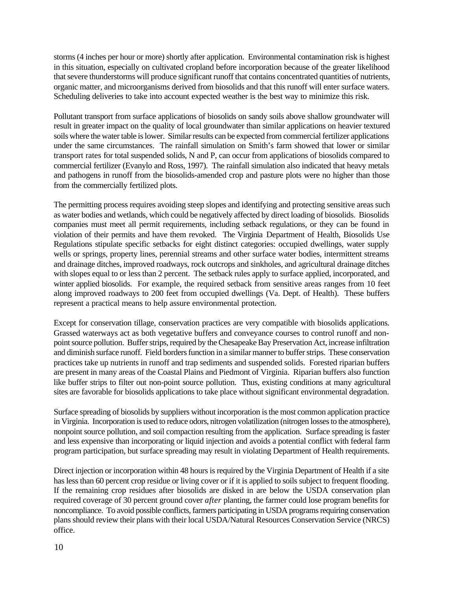storms (4 inches per hour or more) shortly after application. Environmental contamination risk is highest in this situation, especially on cultivated cropland before incorporation because of the greater likelihood that severe thunderstorms will produce significant runoff that contains concentrated quantities of nutrients, organic matter, and microorganisms derived from biosolids and that this runoff will enter surface waters. Scheduling deliveries to take into account expected weather is the best way to minimize this risk.

Pollutant transport from surface applications of biosolids on sandy soils above shallow groundwater will result in greater impact on the quality of local groundwater than similar applications on heavier textured soils where the water table is lower. Similar results can be expected from commercial fertilizer applications under the same circumstances. The rainfall simulation on Smith's farm showed that lower or similar transport rates for total suspended solids, N and P, can occur from applications of biosolids compared to commercial fertilizer (Evanylo and Ross, 1997). The rainfall simulation also indicated that heavy metals and pathogens in runoff from the biosolids-amended crop and pasture plots were no higher than those from the commercially fertilized plots.

The permitting process requires avoiding steep slopes and identifying and protecting sensitive areas such as water bodies and wetlands, which could be negatively affected by direct loading of biosolids. Biosolids companies must meet all permit requirements, including setback regulations, or they can be found in violation of their permits and have them revoked. The Virginia Department of Health, Biosolids Use Regulations stipulate specific setbacks for eight distinct categories: occupied dwellings, water supply wells or springs, property lines, perennial streams and other surface water bodies, intermittent streams and drainage ditches, improved roadways, rock outcrops and sinkholes, and agricultural drainage ditches with slopes equal to or less than 2 percent. The setback rules apply to surface applied, incorporated, and winter applied biosolids. For example, the required setback from sensitive areas ranges from 10 feet along improved roadways to 200 feet from occupied dwellings (Va. Dept. of Health). These buffers represent a practical means to help assure environmental protection.

Except for conservation tillage, conservation practices are very compatible with biosolids applications. Grassed waterways act as both vegetative buffers and conveyance courses to control runoff and nonpoint source pollution. Buffer strips, required by the Chesapeake Bay Preservation Act, increase infiltration and diminish surface runoff. Field borders function in a similar manner to buffer strips. These conservation practices take up nutrients in runoff and trap sediments and suspended solids. Forested riparian buffers are present in many areas of the Coastal Plains and Piedmont of Virginia. Riparian buffers also function like buffer strips to filter out non-point source pollution. Thus, existing conditions at many agricultural sites are favorable for biosolids applications to take place without significant environmental degradation.

Surface spreading of biosolids by suppliers without incorporation is the most common application practice in Virginia. Incorporation is used to reduce odors, nitrogen volatilization (nitrogen losses to the atmosphere), nonpoint source pollution, and soil compaction resulting from the application. Surface spreading is faster and less expensive than incorporating or liquid injection and avoids a potential conflict with federal farm program participation, but surface spreading may result in violating Department of Health requirements.

Direct injection or incorporation within 48 hours is required by the Virginia Department of Health if a site has less than 60 percent crop residue or living cover or if it is applied to soils subject to frequent flooding. If the remaining crop residues after biosolids are disked in are below the USDA conservation plan required coverage of 30 percent ground cover *after* planting, the farmer could lose program benefits for noncompliance. To avoid possible conflicts, farmers participating in USDA programs requiring conservation plans should review their plans with their local USDA/Natural Resources Conservation Service (NRCS) office.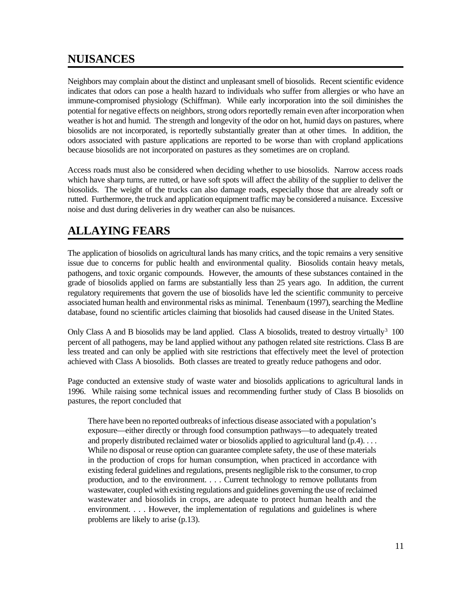## **NUISANCES**

Neighbors may complain about the distinct and unpleasant smell of biosolids. Recent scientific evidence indicates that odors can pose a health hazard to individuals who suffer from allergies or who have an immune-compromised physiology (Schiffman). While early incorporation into the soil diminishes the potential for negative effects on neighbors, strong odors reportedly remain even after incorporation when weather is hot and humid. The strength and longevity of the odor on hot, humid days on pastures, where biosolids are not incorporated, is reportedly substantially greater than at other times. In addition, the odors associated with pasture applications are reported to be worse than with cropland applications because biosolids are not incorporated on pastures as they sometimes are on cropland.

Access roads must also be considered when deciding whether to use biosolids. Narrow access roads which have sharp turns, are rutted, or have soft spots will affect the ability of the supplier to deliver the biosolids. The weight of the trucks can also damage roads, especially those that are already soft or rutted. Furthermore, the truck and application equipment traffic may be considered a nuisance. Excessive noise and dust during deliveries in dry weather can also be nuisances.

# **ALLAYING FEARS**

The application of biosolids on agricultural lands has many critics, and the topic remains a very sensitive issue due to concerns for public health and environmental quality. Biosolids contain heavy metals, pathogens, and toxic organic compounds. However, the amounts of these substances contained in the grade of biosolids applied on farms are substantially less than 25 years ago. In addition, the current regulatory requirements that govern the use of biosolids have led the scientific community to perceive associated human health and environmental risks as minimal. Tenenbaum (1997), searching the Medline database, found no scientific articles claiming that biosolids had caused disease in the United States.

Only Class A and B biosolids may be land applied. Class A biosolids, treated to destroy virtually<sup>3</sup> 100 percent of all pathogens, may be land applied without any pathogen related site restrictions. Class B are less treated and can only be applied with site restrictions that effectively meet the level of protection achieved with Class A biosolids. Both classes are treated to greatly reduce pathogens and odor.

Page conducted an extensive study of waste water and biosolids applications to agricultural lands in 1996. While raising some technical issues and recommending further study of Class B biosolids on pastures, the report concluded that

There have been no reported outbreaks of infectious disease associated with a population's exposure—either directly or through food consumption pathways—to adequately treated and properly distributed reclaimed water or biosolids applied to agricultural land (p.4). . . . While no disposal or reuse option can guarantee complete safety, the use of these materials in the production of crops for human consumption, when practiced in accordance with existing federal guidelines and regulations, presents negligible risk to the consumer, to crop production, and to the environment. . . . Current technology to remove pollutants from wastewater, coupled with existing regulations and guidelines governing the use of reclaimed wastewater and biosolids in crops, are adequate to protect human health and the environment. . . . However, the implementation of regulations and guidelines is where problems are likely to arise (p.13).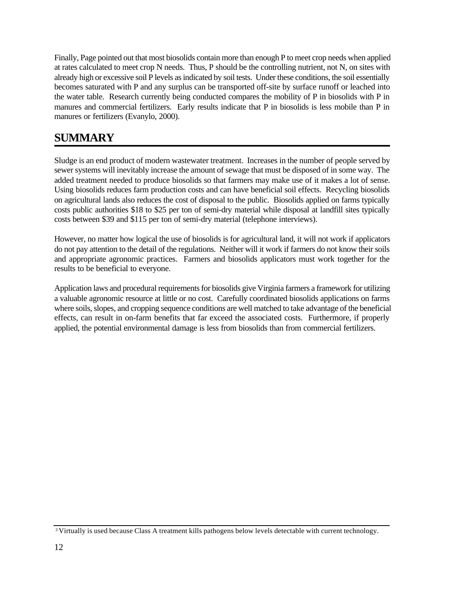Finally, Page pointed out that most biosolids contain more than enough P to meet crop needs when applied at rates calculated to meet crop N needs. Thus, P should be the controlling nutrient, not N, on sites with already high or excessive soil P levels as indicated by soil tests. Under these conditions, the soil essentially becomes saturated with P and any surplus can be transported off-site by surface runoff or leached into the water table. Research currently being conducted compares the mobility of P in biosolids with P in manures and commercial fertilizers. Early results indicate that P in biosolids is less mobile than P in manures or fertilizers (Evanylo, 2000).

## **SUMMARY**

Sludge is an end product of modern wastewater treatment. Increases in the number of people served by sewer systems will inevitably increase the amount of sewage that must be disposed of in some way. The added treatment needed to produce biosolids so that farmers may make use of it makes a lot of sense. Using biosolids reduces farm production costs and can have beneficial soil effects. Recycling biosolids on agricultural lands also reduces the cost of disposal to the public. Biosolids applied on farms typically costs public authorities \$18 to \$25 per ton of semi-dry material while disposal at landfill sites typically costs between \$39 and \$115 per ton of semi-dry material (telephone interviews).

However, no matter how logical the use of biosolids is for agricultural land, it will not work if applicators do not pay attention to the detail of the regulations. Neither will it work if farmers do not know their soils and appropriate agronomic practices. Farmers and biosolids applicators must work together for the results to be beneficial to everyone.

Application laws and procedural requirements for biosolids give Virginia farmers a framework for utilizing a valuable agronomic resource at little or no cost. Carefully coordinated biosolids applications on farms where soils, slopes, and cropping sequence conditions are well matched to take advantage of the beneficial effects, can result in on-farm benefits that far exceed the associated costs. Furthermore, if properly applied, the potential environmental damage is less from biosolids than from commercial fertilizers.

<sup>&</sup>lt;sup>3</sup> Virtually is used because Class A treatment kills pathogens below levels detectable with current technology.